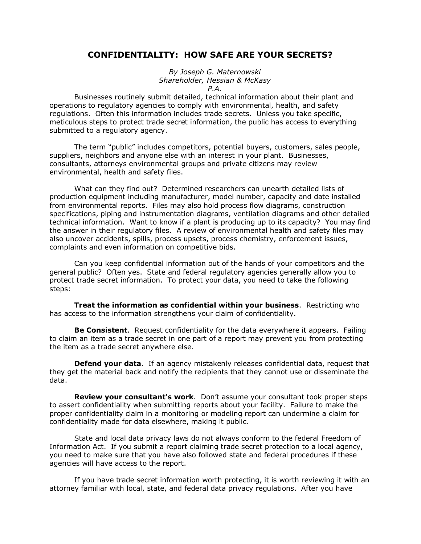## **CONFIDENTIALITY: HOW SAFE ARE YOUR SECRETS?**

*By Joseph G. Maternowski Shareholder, Hessian & McKasy P.A.* 

Businesses routinely submit detailed, technical information about their plant and operations to regulatory agencies to comply with environmental, health, and safety regulations. Often this information includes trade secrets. Unless you take specific, meticulous steps to protect trade secret information, the public has access to everything submitted to a regulatory agency.

The term "public" includes competitors, potential buyers, customers, sales people, suppliers, neighbors and anyone else with an interest in your plant. Businesses, consultants, attorneys environmental groups and private citizens may review environmental, health and safety files.

What can they find out? Determined researchers can unearth detailed lists of production equipment including manufacturer, model number, capacity and date installed from environmental reports. Files may also hold process flow diagrams, construction specifications, piping and instrumentation diagrams, ventilation diagrams and other detailed technical information. Want to know if a plant is producing up to its capacity? You may find the answer in their regulatory files. A review of environmental health and safety files may also uncover accidents, spills, process upsets, process chemistry, enforcement issues, complaints and even information on competitive bids.

Can you keep confidential information out of the hands of your competitors and the general public? Often yes. State and federal regulatory agencies generally allow you to protect trade secret information. To protect your data, you need to take the following steps:

**Treat the information as confidential within your business**. Restricting who has access to the information strengthens your claim of confidentiality.

**Be Consistent**. Request confidentiality for the data everywhere it appears. Failing to claim an item as a trade secret in one part of a report may prevent you from protecting the item as a trade secret anywhere else.

**Defend your data**. If an agency mistakenly releases confidential data, request that they get the material back and notify the recipients that they cannot use or disseminate the data.

**Review your consultant's work**. Don't assume your consultant took proper steps to assert confidentiality when submitting reports about your facility. Failure to make the proper confidentiality claim in a monitoring or modeling report can undermine a claim for confidentiality made for data elsewhere, making it public.

State and local data privacy laws do not always conform to the federal Freedom of Information Act. If you submit a report claiming trade secret protection to a local agency, you need to make sure that you have also followed state and federal procedures if these agencies will have access to the report.

If you have trade secret information worth protecting, it is worth reviewing it with an attorney familiar with local, state, and federal data privacy regulations. After you have